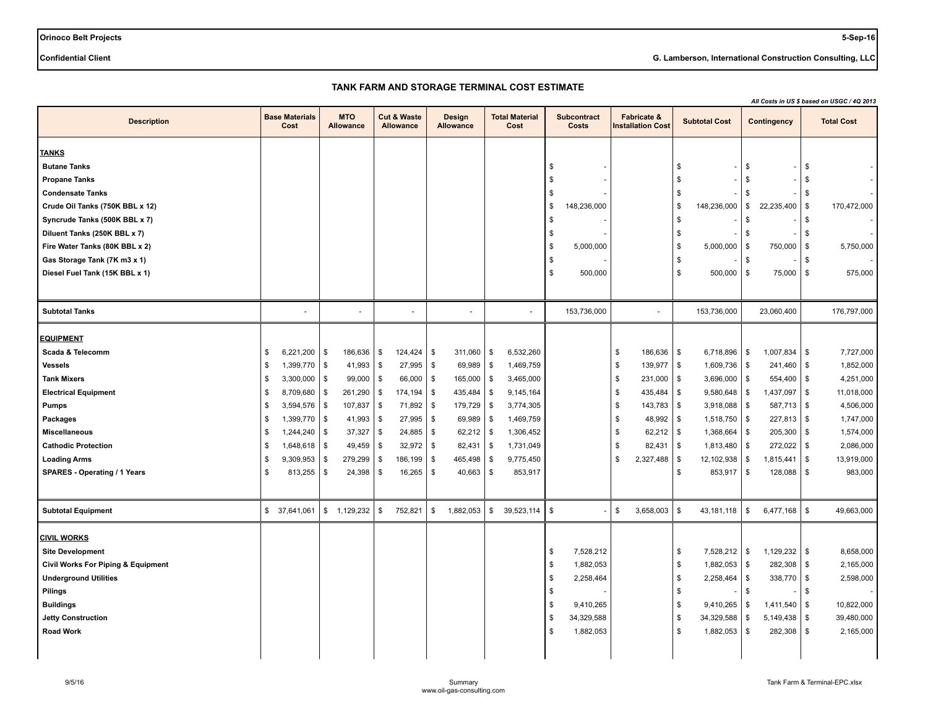**Orinoco Belt Projects 5-Sep-16**

**Confidential Client G. Lamberson, International Construction Consulting, LLC**

# **TANK FARM AND STORAGE TERMINAL COST ESTIMATE**

|                                    |                                    |         |                                |               |                                            |             |                            |          |                               |                |                             |          |                                                    |      |                      |          |                    | All Costs in US \$ based on USGC / 4Q 2013 |                   |  |  |  |  |
|------------------------------------|------------------------------------|---------|--------------------------------|---------------|--------------------------------------------|-------------|----------------------------|----------|-------------------------------|----------------|-----------------------------|----------|----------------------------------------------------|------|----------------------|----------|--------------------|--------------------------------------------|-------------------|--|--|--|--|
| <b>Description</b>                 | <b>Base Materials</b><br>Cost      |         | <b>MTO</b><br><b>Allowance</b> |               | <b>Cut &amp; Waste</b><br><b>Allowance</b> |             | Design<br><b>Allowance</b> |          | <b>Total Material</b><br>Cost |                | <b>Subcontract</b><br>Costs |          | <b>Fabricate &amp;</b><br><b>Installation Cost</b> |      | <b>Subtotal Cost</b> |          | Contingency        |                                            | <b>Total Cost</b> |  |  |  |  |
| <b>TANKS</b>                       |                                    |         |                                |               |                                            |             |                            |          |                               |                |                             |          |                                                    |      |                      |          |                    |                                            |                   |  |  |  |  |
| <b>Butane Tanks</b>                |                                    |         |                                |               |                                            |             |                            |          |                               | \$             |                             |          |                                                    | \$   |                      | \$       | $\blacksquare$     | \$                                         |                   |  |  |  |  |
| <b>Propane Tanks</b>               |                                    |         |                                |               |                                            |             |                            |          |                               | \$             |                             |          |                                                    | \$   |                      | \$       |                    | \$                                         |                   |  |  |  |  |
| <b>Condensate Tanks</b>            |                                    |         |                                |               |                                            |             |                            |          |                               | \$             |                             |          |                                                    | \$   |                      | \$       |                    | \$                                         |                   |  |  |  |  |
| Crude Oil Tanks (750K BBL x 12)    |                                    |         |                                |               |                                            |             |                            |          |                               | \$             | 148,236,000                 |          |                                                    | \$   | 148,236,000          | \$       | 22,235,400         | \$                                         | 170,472,000       |  |  |  |  |
| Syncrude Tanks (500K BBL x 7)      |                                    |         |                                |               |                                            |             |                            |          |                               | \$             |                             |          |                                                    | \$   |                      | \$       |                    | \$                                         |                   |  |  |  |  |
| Diluent Tanks (250K BBL x 7)       |                                    |         |                                |               |                                            |             |                            |          |                               | \$             |                             |          |                                                    | \$   |                      | \$       |                    | \$                                         |                   |  |  |  |  |
| Fire Water Tanks (80K BBL x 2)     |                                    |         |                                |               |                                            |             |                            |          |                               | \$             | 5,000,000                   |          |                                                    | \$   | 5,000,000            | l \$     | 750,000            | \$                                         | 5,750,000         |  |  |  |  |
| Gas Storage Tank (7K m3 x 1)       |                                    |         |                                |               |                                            |             |                            |          |                               | \$             |                             |          |                                                    | \$   |                      | \$       |                    | \$                                         |                   |  |  |  |  |
| Diesel Fuel Tank (15K BBL x 1)     |                                    |         |                                |               |                                            |             |                            |          |                               | \$             | 500,000                     |          |                                                    | \$   | 500,000              | \$       | 75,000             | \$                                         | 575,000           |  |  |  |  |
|                                    |                                    |         |                                |               |                                            |             |                            |          |                               |                |                             |          |                                                    |      |                      |          |                    |                                            |                   |  |  |  |  |
| <b>Subtotal Tanks</b>              |                                    |         |                                |               |                                            |             | $\overline{\phantom{a}}$   |          |                               |                | 153,736,000                 |          | $\blacksquare$                                     |      | 153,736,000          |          | 23,060,400         |                                            | 176,797,000       |  |  |  |  |
|                                    |                                    |         |                                |               |                                            |             |                            |          |                               |                |                             |          |                                                    |      |                      |          |                    |                                            |                   |  |  |  |  |
| <b>EQUIPMENT</b>                   |                                    |         |                                |               |                                            |             |                            |          |                               |                |                             |          |                                                    |      |                      |          |                    |                                            |                   |  |  |  |  |
| Scada & Telecomm                   | \$<br>$6,221,200$   \$             |         | 186,636                        | $\sqrt{2}$    | 124,424                                    | \$          | 311,060                    | \$       | 6,532,260                     |                |                             | \$       | 186,636                                            | \$   | $6,718,896$   \$     |          | $1,007,834$ \ \ \$ |                                            | 7,727,000         |  |  |  |  |
| <b>Vessels</b>                     | \$<br>1,399,770                    |         | \$<br>41,993                   | $\sqrt[6]{3}$ | 27,995                                     | <b>S</b>    | 69,989                     | \$       | 1,469,759                     |                |                             | \$       | 139,977                                            | \$   | 1,609,736            | \$       | 241,460            | l \$                                       | 1,852,000         |  |  |  |  |
| <b>Tank Mixers</b>                 | \$<br>3,300,000                    |         | \$<br>99,000                   | \$            | 66,000                                     | \$          | 165,000                    | \$       | 3,465,000                     |                |                             | \$       | 231,000                                            | \$   | 3,696,000            | l \$     | 554,400            | \$                                         | 4,251,000         |  |  |  |  |
| <b>Electrical Equipment</b>        | \$<br>8,709,680                    |         | \$<br>261,290                  | $\sqrt[6]{3}$ | 174,194                                    | \$          | 435,484                    | \$       | 9,145,164                     |                |                             | \$       | 435,484                                            | \$   | 9,580,648            | l \$     | 1,437,097          | l \$                                       | 11,018,000        |  |  |  |  |
| <b>Pumps</b>                       | $3,594,576$ \$<br>\$               |         | 107,837                        | $\sqrt[6]{3}$ | 71,892                                     | $\mathbf s$ | 179,729                    | \$       | 3,774,305                     |                |                             | \$       | 143,783                                            | \$   | $3,918,088$ \ \$     |          | $587,713$ \$       |                                            | 4,506,000         |  |  |  |  |
| Packages                           | $1,399,770$ \$<br>\$               |         | 41,993                         | \$            | $27,995$ \$                                |             | 69,989                     | \$       | 1,469,759                     |                |                             | £        | 48,992                                             | \$   | 1,518,750            | l \$     | $227,813$ \$       |                                            | 1,747,000         |  |  |  |  |
| <b>Miscellaneous</b>               | $\mathfrak{s}$<br>$1,244,240$ \ \$ |         | 37,327                         | \$            | 24,885                                     | $\sqrt{3}$  | 62,212                     | \$       | 1,306,452                     |                |                             | <b>S</b> | 62,212                                             | l \$ | 1,368,664            | l \$     | 205,300            | l \$                                       | 1,574,000         |  |  |  |  |
| <b>Cathodic Protection</b>         | 1,648,618<br>\$                    |         | \$<br>49,459                   | \$            | 32,972                                     | \$          | 82,431                     | \$       | 1,731,049                     |                |                             | S        | 82,431                                             | \$   | 1,813,480            | \$       | 272,022            | \$                                         | 2,086,000         |  |  |  |  |
| <b>Loading Arms</b>                | 9,309,953<br>\$                    |         | 279,299<br>\$                  | $\sqrt{3}$    | 186,199                                    | \$          | 465,498                    | <b>S</b> | 9,775,450                     |                |                             | \$       | 2,327,488                                          | \$   | 12,102,938           | l \$     | 1,815,441          | l \$                                       | 13,919,000        |  |  |  |  |
| SPARES - Operating / 1 Years       | \$                                 | 813,255 | \$<br>24,398                   | \$            | 16,265                                     | \$          | 40,663                     | \$       | 853,917                       |                |                             |          |                                                    | \$   | 853,917              | \$       | 128,088            | \$                                         | 983,000           |  |  |  |  |
|                                    |                                    |         |                                |               |                                            |             |                            |          |                               |                |                             |          |                                                    |      |                      |          |                    |                                            |                   |  |  |  |  |
| <b>Subtotal Equipment</b>          | \$ 37,641,061                      |         | \$ 1,129,232                   | \$            | 752,821                                    | \$          | 1,882,053                  | \$       | 39,523,114                    | \$             |                             | \$       | 3,658,003                                          | \$   | 43,181,118           | l \$     | 6,477,168          | \$                                         | 49,663,000        |  |  |  |  |
| <b>CIVIL WORKS</b>                 |                                    |         |                                |               |                                            |             |                            |          |                               |                |                             |          |                                                    |      |                      |          |                    |                                            |                   |  |  |  |  |
| <b>Site Development</b>            |                                    |         |                                |               |                                            |             |                            |          |                               | \$             | 7,528,212                   |          |                                                    | \$   | 7,528,212            | \$       | 1,129,232          | \$                                         | 8,658,000         |  |  |  |  |
| Civil Works For Piping & Equipment |                                    |         |                                |               |                                            |             |                            |          |                               | \$             | 1,882,053                   |          |                                                    | \$   | 1,882,053            | l \$     | $282,308$ \ \ \$   |                                            | 2,165,000         |  |  |  |  |
| <b>Underground Utilities</b>       |                                    |         |                                |               |                                            |             |                            |          |                               | \$             | 2,258,464                   |          |                                                    | \$   | 2,258,464            | l \$     | 338,770            | \$                                         | 2,598,000         |  |  |  |  |
| Pilings                            |                                    |         |                                |               |                                            |             |                            |          |                               | \$             |                             |          |                                                    | \$   |                      | \$       |                    | \$                                         |                   |  |  |  |  |
| <b>Buildings</b>                   |                                    |         |                                |               |                                            |             |                            |          |                               | $\mathfrak{F}$ | 9,410,265                   |          |                                                    | \$   | 9,410,265            | l \$     | 1,411,540          | <b>S</b>                                   | 10,822,000        |  |  |  |  |
| <b>Jetty Construction</b>          |                                    |         |                                |               |                                            |             |                            |          |                               | \$             | 34,329,588                  |          |                                                    | \$   | 34,329,588           | \$       | $5,149,438$ \$     |                                            | 39,480,000        |  |  |  |  |
| <b>Road Work</b>                   |                                    |         |                                |               |                                            |             |                            |          |                               | \$             | 1,882,053                   |          |                                                    | \$   | 1,882,053            | <b>S</b> | 282,308            | \$                                         | 2,165,000         |  |  |  |  |
|                                    |                                    |         |                                |               |                                            |             |                            |          |                               |                |                             |          |                                                    |      |                      |          |                    |                                            |                   |  |  |  |  |
|                                    |                                    |         |                                |               |                                            |             |                            |          |                               |                |                             |          |                                                    |      |                      |          |                    |                                            |                   |  |  |  |  |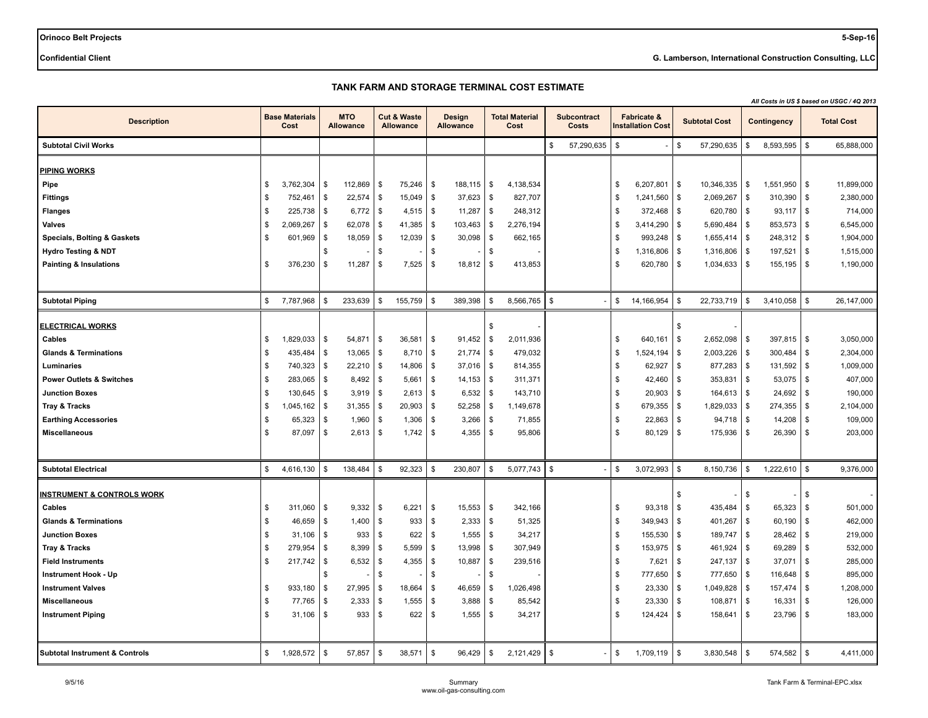**Orinoco Belt Projects 5-Sep-16**

**Confidential Client G. Lamberson, International Construction Consulting, LLC**

## **TANK FARM AND STORAGE TERMINAL COST ESTIMATE**

|                                                     |                               |          |                         |               |                                            |            |                                   |          |                               |      |                             |              |                                                    |     |                      |            |                | All Costs in US \$ based on USGC / 4Q 2013 |                   |
|-----------------------------------------------------|-------------------------------|----------|-------------------------|---------------|--------------------------------------------|------------|-----------------------------------|----------|-------------------------------|------|-----------------------------|--------------|----------------------------------------------------|-----|----------------------|------------|----------------|--------------------------------------------|-------------------|
| <b>Description</b>                                  | <b>Base Materials</b><br>Cost |          | <b>MTO</b><br>Allowance |               | <b>Cut &amp; Waste</b><br><b>Allowance</b> |            | <b>Design</b><br><b>Allowance</b> |          | <b>Total Material</b><br>Cost |      | <b>Subcontract</b><br>Costs |              | <b>Fabricate &amp;</b><br><b>Installation Cost</b> |     | <b>Subtotal Cost</b> |            | Contingency    |                                            | <b>Total Cost</b> |
| <b>Subtotal Civil Works</b>                         |                               |          |                         |               |                                            |            |                                   |          |                               | \$   | 57,290,635                  | $\mathbb{S}$ |                                                    | \$  | 57,290,635           | \$         | $8,593,595$ \$ |                                            | 65,888,000        |
|                                                     |                               |          |                         |               |                                            |            |                                   |          |                               |      |                             |              |                                                    |     |                      |            |                |                                            |                   |
| <b>PIPING WORKS</b>                                 |                               |          |                         |               |                                            |            |                                   |          |                               |      |                             |              |                                                    |     |                      |            |                |                                            |                   |
| Pipe                                                | \$<br>3,762,304               | \$       | 112,869                 | \$            | 75,246                                     | l \$       | 188,115                           | \$       | 4,138,534                     |      |                             | \$           | 6,207,801                                          | \$  | 10,346,335           | \$         | 1,551,950      | \$                                         | 11,899,000        |
| <b>Fittings</b>                                     | \$<br>752,461                 | \$       | 22,574                  | \$            | 15,049                                     | <b>S</b>   | 37,623                            | \$       | 827,707                       |      |                             | \$           | 1,241,560                                          | \$  | 2,069,267            | \$         | 310,390        | \$                                         | 2,380,000         |
| <b>Flanges</b>                                      | \$<br>225,738                 | \$       | 6,772                   | $\sqrt{2}$    | 4,515                                      | l \$       | 11,287                            | ∣\$      | 248,312                       |      |                             | \$           | 372,468                                            | \$  | 620,780              | \$         | $93,117$   \$  |                                            | 714,000           |
| Valves                                              | \$<br>2,069,267               | \$       | 62,078                  | \$            | 41,385                                     | <b>\$</b>  | 103,463                           | \$       | 2,276,194                     |      |                             | \$           | 3,414,290                                          | \$  | 5,690,484            | \$         | 853,573        | - \$                                       | 6,545,000         |
| <b>Specials, Bolting &amp; Gaskets</b>              | \$<br>601,969                 | \$       | 18,059                  | \$            | 12,039                                     | l \$       | 30,098                            | \$       | 662,165                       |      |                             | \$           | 993,248                                            | \$  | 1,655,414            | \$         | 248,312        | \$                                         | 1,904,000         |
| <b>Hydro Testing &amp; NDT</b>                      |                               | \$       |                         | \$            |                                            | \$         |                                   | \$       |                               |      |                             | \$           | 1,316,806                                          | \$  | 1,316,806            | \$         | 197,521        | \$                                         | 1,515,000         |
| <b>Painting &amp; Insulations</b>                   | \$<br>376,230                 | \$       | 11,287                  | \$            | 7,525                                      | ∣\$        | 18,812                            | \$       | 413,853                       |      |                             | \$           | 620,780                                            | \$  | 1,034,633            | \$         | 155,195        | \$                                         | 1,190,000         |
|                                                     |                               |          |                         |               |                                            |            |                                   |          |                               |      |                             |              |                                                    |     |                      |            |                |                                            |                   |
| <b>Subtotal Piping</b>                              | \$<br>7,787,968               | \$       | 233,639                 | \$            | 155,759                                    | l \$       | 389,398                           | \$       | $8,566,765$ \ \$              |      |                             | \$           | 14,166,954                                         | \$  | 22,733,719           | \$         | 3,410,058      | \$                                         | 26,147,000        |
| <b>ELECTRICAL WORKS</b>                             |                               |          |                         |               |                                            |            |                                   | \$       |                               |      |                             |              |                                                    | \$. |                      |            |                |                                            |                   |
| Cables                                              | \$<br>1,829,033               | \$       | 54,871                  | \$            | 36,581                                     | <b>S</b>   | 91,452                            | \$       | 2,011,936                     |      |                             | \$           | 640,161                                            | \$  | 2,652,098            | \$         | 397,815        | <b>S</b>                                   | 3,050,000         |
| <b>Glands &amp; Terminations</b>                    | \$<br>435,484                 | \$       | 13,065                  | \$            | 8,710                                      | <b>\$</b>  | 21,774                            | \$       | 479,032                       |      |                             | \$           | 1,524,194                                          | \$  | 2,003,226            | \$         | 300,484        | \$                                         | 2,304,000         |
| Luminaries                                          | \$<br>740,323                 | \$       | 22,210                  | \$            | 14,806                                     | l \$       | 37,016                            | \$       | 814,355                       |      |                             | \$           | 62,927                                             | \$  | 877,283              | \$         | 131,592        | \$                                         | 1,009,000         |
| <b>Power Outlets &amp; Switches</b>                 | \$<br>283,065                 | \$       | 8,492                   | \$            | 5,661                                      | \$         | 14,153                            | ∣\$      | 311,371                       |      |                             | \$           | 42,460                                             | \$  | 353,831              | \$         | 53,075         | - \$                                       | 407,000           |
| <b>Junction Boxes</b>                               | \$<br>130,645                 | \$       | 3,919                   | \$            | 2,613                                      | l \$       | 6,532                             | - \$     | 143,710                       |      |                             | \$           | 20,903                                             | \$  | 164,613              | <b>S</b>   | 24,692         | - \$                                       | 190,000           |
| <b>Tray &amp; Tracks</b>                            | \$<br>1,045,162               | \$       | 31,355                  | \$            | 20,903                                     | l \$       | $52,258$ \ \ \$                   |          | 1,149,678                     |      |                             | \$           | 679,355                                            | \$  | 1,829,033            | \$         | 274,355        | \$                                         | 2,104,000         |
|                                                     | \$                            |          |                         |               |                                            | <b>S</b>   |                                   |          |                               |      |                             | \$           |                                                    | \$  |                      | \$         |                | - \$                                       | 109,000           |
| <b>Earthing Accessories</b><br><b>Miscellaneous</b> | \$<br>65,323<br>87,097        | \$<br>\$ | 1,960<br>2,613          | \$<br>\$      | 1,306<br>1,742                             | <b>S</b>   | 3,266                             | \$<br>\$ | 71,855<br>95,806              |      |                             | \$           | 22,863<br>80,129                                   | \$  | 94,718<br>175,936    | \$         | 14,208         | \$                                         | 203,000           |
|                                                     |                               |          |                         |               |                                            |            | 4,355                             |          |                               |      |                             |              |                                                    |     |                      |            | 26,390         |                                            |                   |
|                                                     |                               |          |                         |               |                                            |            |                                   |          |                               |      |                             |              |                                                    |     |                      |            |                |                                            |                   |
| <b>Subtotal Electrical</b>                          | \$<br>4,616,130               | \$       | 138,484                 | \$            | 92,323                                     | <b>S</b>   | 230,807                           | \$       | $5,077,743$   \$              |      |                             | \$           | 3,072,993                                          | \$  | 8,150,736            | \$         | $1,222,610$ \$ |                                            | 9,376,000         |
| <b>INSTRUMENT &amp; CONTROLS WORK</b>               |                               |          |                         |               |                                            |            |                                   |          |                               |      |                             |              |                                                    | \$  |                      | \$         |                | \$                                         |                   |
| Cables                                              | \$<br>311,060                 | \$       | 9,332                   | \$            | 6,221                                      | \$         | 15,553                            | \$       | 342,166                       |      |                             | \$           | 93,318                                             | \$  | 435,484              | \$         | 65,323         | S                                          | 501,000           |
| <b>Glands &amp; Terminations</b>                    | \$<br>46,659                  | \$       | 1,400                   | \$            | 933                                        | <b>S</b>   | 2,333                             | \$       | 51,325                        |      |                             | \$           | 349,943                                            | \$  | 401,267              | \$         | 60,190         | \$                                         | 462,000           |
| <b>Junction Boxes</b>                               | \$<br>31,106                  | \$       | 933                     | \$            | 622                                        | \$         | 1,555                             | \$       | 34,217                        |      |                             | \$           | 155,530                                            | \$  | 189,747              | \$         | 28,462         | \$                                         | 219,000           |
| <b>Tray &amp; Tracks</b>                            | \$<br>279,954                 | \$       | 8,399                   | \$            | 5,599                                      | <b>S</b>   | 13,998                            | - \$     | 307,949                       |      |                             | \$           | 153,975                                            | \$  | 461,924              | \$         | 69,289         | - \$                                       | 532,000           |
| <b>Field Instruments</b>                            | \$<br>217,742                 | \$       | 6,532                   | \$            | 4,355                                      | \$         | 10,887                            | \$       | 239,516                       |      |                             | \$           | 7,621                                              | \$  | 247,137              | \$         | 37,071         | S                                          | 285,000           |
| <b>Instrument Hook - Up</b>                         |                               | \$       |                         | $\mathfrak s$ |                                            | - \$       |                                   | \$       |                               |      |                             | \$           | 777,650                                            | \$  | 777,650              | $\sqrt{3}$ | 116,648        | l \$                                       | 895,000           |
| <b>Instrument Valves</b>                            | \$<br>933,180                 | \$       | 27,995                  | \$            | 18,664                                     | \$         | 46,659                            | <b>S</b> | 1,026,498                     |      |                             | \$           | 23,330                                             | \$  | 1,049,828            | \$         | 157,474        | \$                                         | 1,208,000         |
| <b>Miscellaneous</b>                                | \$<br>77,765                  | \$       | 2,333                   | \$            | 1,555                                      | $\sqrt{3}$ | 3,888                             | \$       | 85,542                        |      |                             | \$           | 23,330                                             | \$  | 108,871              | \$         | 16,331         | - \$                                       | 126,000           |
| <b>Instrument Piping</b>                            | \$<br>31,106                  | \$       | 933                     | \$            | 622                                        | \$         | 1,555                             | \$       | 34,217                        |      |                             | \$           | 124,424                                            | \$  | 158,641              | \$         | 23,796         | \$                                         | 183,000           |
|                                                     |                               |          |                         |               |                                            |            |                                   |          |                               |      |                             |              |                                                    |     |                      |            |                |                                            |                   |
| <b>Subtotal Instrument &amp; Controls</b>           | \$<br>1,928,572               | \$       | 57,857                  | \$            | 38,571                                     | <b>S</b>   | 96,429                            | S.       | 2,121,429                     | l \$ |                             | \$           | 1,709,119                                          | \$  | 3,830,548            | \$         | 574,582        | \$                                         | 4,411,000         |